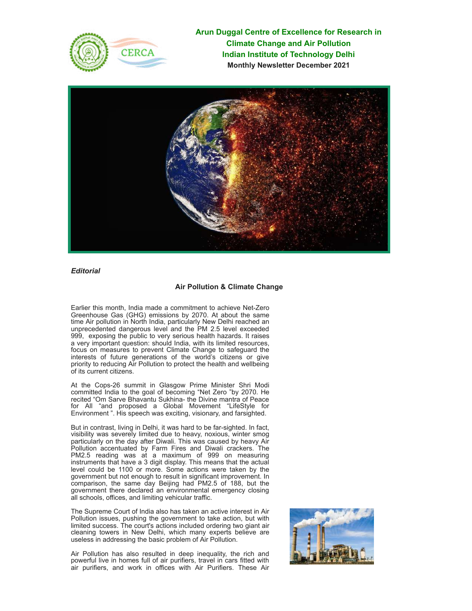

**Arun Duggal Centre of Excellence for Research in Climate Change and Air Pollution Indian Institute of Technology Delhi Monthly Newsletter December 2021**



*Editorial*

# **Air Pollution & Climate Change**

Earlier this month, India made a commitment to achieve Net-Zero Greenhouse Gas (GHG) emissions by 2070. At about the same time Air pollution in North India, particularly New Delhi reached an unprecedented dangerous level and the PM 2.5 level exceeded 999, exposing the public to very serious health hazards. It raises a very important question: should India, with its limited resources, focus on measures to prevent Climate Change to safeguard the interests of future generations of the world's citizens or give priority to reducing Air Pollution to protect the health and wellbeing of its current citizens.

At the Cops-26 summit in Glasgow Prime Minister Shri Modi committed India to the goal of becoming "Net Zero "by 2070. He recited "Om Sarve Bhavantu Sukhina- the Divine mantra of Peace for All "and proposed a Global Movement "LifeStyle for Environment ". His speech was exciting, visionary, and farsighted.

But in contrast, living in Delhi, it was hard to be far-sighted. In fact, visibility was severely limited due to heavy, noxious, winter smog particularly on the day after Diwali. This was caused by heavy Air Pollution accentuated by Farm Fires and Diwali crackers. The PM2.5 reading was at a maximum of 999 on measuring instruments that have a 3 digit display. This means that the actual level could be 1100 or more. Some actions were taken by the government but not enough to result in significant improvement. In comparison, the same day Beijing had PM2.5 of 188, but the government there declared an environmental emergency closing all schools, offices, and limiting vehicular traffic.

The Supreme Court of India also has taken an active interest in Air Pollution issues, pushing the government to take action, but with limited success. The court's actions included ordering two giant air cleaning towers in New Delhi, which many experts believe are useless in addressing the basic problem of Air Pollution.

Air Pollution has also resulted in deep inequality, the rich and powerful live in homes full of air purifiers, travel in cars fitted with air purifiers, and work in offices with Air Purifiers. These Air

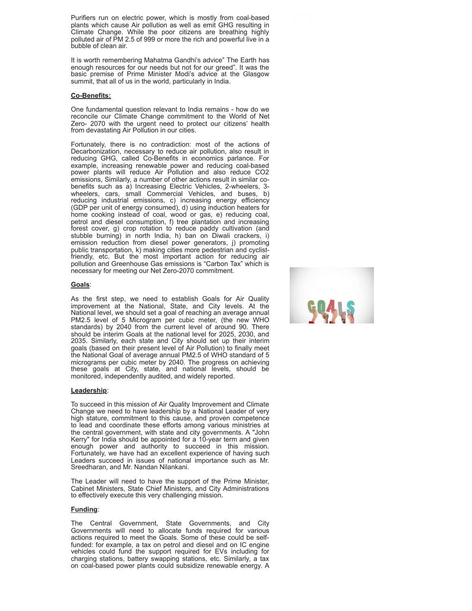Purifiers run on electric power, which is mostly from coal-based plants which cause Air pollution as well as emit GHG resulting in Climate Change. While the poor citizens are breathing highly polluted air of PM 2.5 of 999 or more the rich and powerful live in a bubble of clean air.

It is worth remembering Mahatma Gandhi's advice" The Earth has enough resources for our needs but not for our greed". It was the basic premise of Prime Minister Modi's advice at the Glasgow summit, that all of us in the world, particularly in India.

#### **Co-Benefits:**

One fundamental question relevant to India remains - how do we reconcile our Climate Change commitment to the World of Net Zero- 2070 with the urgent need to protect our citizens' health from devastating Air Pollution in our cities.

Fortunately, there is no contradiction: most of the actions of Decarbonization, necessary to reduce air pollution, also result in reducing GHG, called Co-Benefits in economics parlance. For example, increasing renewable power and reducing coal-based power plants will reduce Air Pollution and also reduce CO2 emissions, Similarly, a number of other actions result in similar cobenefits such as a) Increasing Electric Vehicles, 2-wheelers, 3 wheelers, cars, small Commercial Vehicles, and buses, b) reducing industrial emissions, c) increasing energy efficiency (GDP per unit of energy consumed), d) using induction heaters for home cooking instead of coal, wood or gas, e) reducing coal, petrol and diesel consumption, f) tree plantation and increasing forest cover, g) crop rotation to reduce paddy cultivation (and stubble burning) in north India, h) ban on Diwali crackers, i) emission reduction from diesel power generators, j) promoting public transportation, k) making cities more pedestrian and cyclistfriendly, etc. But the most important action for reducing air pollution and Greenhouse Gas emissions is "Carbon Tax" which is necessary for meeting our Net Zero-2070 commitment.

#### **Goals**:

As the first step, we need to establish Goals for Air Quality improvement at the National, State, and City levels. At the National level, we should set a goal of reaching an average annual PM2.5 level of 5 Microgram per cubic meter, (the new WHO standards) by 2040 from the current level of around 90. There should be interim Goals at the national level for 2025, 2030, and 2035. Similarly, each state and City should set up their interim goals (based on their present level of Air Pollution) to finally meet the National Goal of average annual PM2.5 of WHO standard of 5 micrograms per cubic meter by 2040. The progress on achieving these goals at City, state, and national levels, should be monitored, independently audited, and widely reported.

### **Leadership**:

To succeed in this mission of Air Quality Improvement and Climate Change we need to have leadership by a National Leader of very high stature, commitment to this cause, and proven competence to lead and coordinate these efforts among various ministries at the central government, with state and city governments. A "John Kerry" for India should be appointed for a 10-year term and given enough power and authority to succeed in this mission. Fortunately, we have had an excellent experience of having such Leaders succeed in issues of national importance such as Mr. Sreedharan, and Mr. Nandan Nilankani.

The Leader will need to have the support of the Prime Minister, Cabinet Ministers, State Chief Ministers, and City Administrations to effectively execute this very challenging mission.

### **Funding**:

The Central Government, State Governments, and City Governments will need to allocate funds required for various actions required to meet the Goals. Some of these could be selffunded: for example, a tax on petrol and diesel and on IC engine vehicles could fund the support required for EVs including for charging stations, battery swapping stations, etc. Similarly, a tax on coal-based power plants could subsidize renewable energy. A

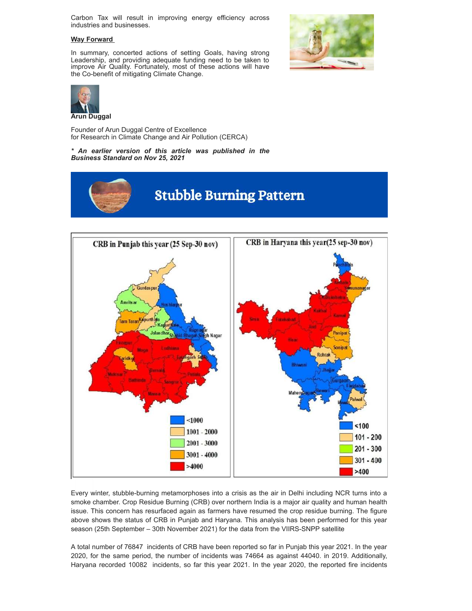Carbon Tax will result in improving energy efficiency across industries and businesses.

# **Way Forward**

In summary, concerted actions of setting Goals, having strong Leadership, and providing adequate funding need to be taken to improve Air Quality. Fortunately, most of these actions will have the Co-benefit of mitigating Climate Change.





Founder of Arun Duggal Centre of Excellence for Research in Climate Change and Air Pollution (CERCA)

*\* An earlier version of this article was published in the Business Standard on Nov 25, 2021*





Every winter, stubble-burning metamorphoses into a crisis as the air in Delhi including NCR turns into a smoke chamber. Crop Residue Burning (CRB) over northern India is a major air quality and human health issue. This concern has resurfaced again as farmers have resumed the crop residue burning. The figure above shows the status of CRB in Punjab and Haryana. This analysis has been performed for this year season (25th September – 30th November 2021) for the data from the VIIRS-SNPP satellite

A total number of 76847 incidents of CRB have been reported so far in Punjab this year 2021. In the year 2020, for the same period, the number of incidents was 74664 as against 44040. in 2019. Additionally, Haryana recorded 10082 incidents, so far this year 2021. In the year 2020, the reported fire incidents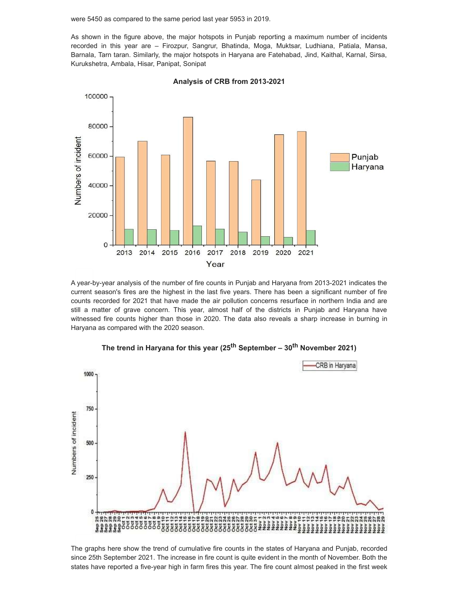were 5450 as compared to the same period last year 5953 in 2019.

As shown in the figure above, the major hotspots in Punjab reporting a maximum number of incidents recorded in this year are – Firozpur, Sangrur, Bhatinda, Moga, Muktsar, Ludhiana, Patiala, Mansa, Barnala, Tarn taran. Similarly, the major hotspots in Haryana are Fatehabad, Jind, Kaithal, Karnal, Sirsa, Kurukshetra, Ambala, Hisar, Panipat, Sonipat



**Analysis of CRB from 2013-2021**

A year-by-year analysis of the number of fire counts in Punjab and Haryana from 2013-2021 indicates the current season's fires are the highest in the last five years. There has been a significant number of fire counts recorded for 2021 that have made the air pollution concerns resurface in northern India and are still a matter of grave concern. This year, almost half of the districts in Punjab and Haryana have witnessed fire counts higher than those in 2020. The data also reveals a sharp increase in burning in Haryana as compared with the 2020 season.



**The trend in Haryana for this year (25th September – 30th November 2021)**

The graphs here show the trend of cumulative fire counts in the states of Haryana and Punjab, recorded since 25th September 2021. The increase in fire count is quite evident in the month of November. Both the states have reported a five-year high in farm fires this year. The fire count almost peaked in the first week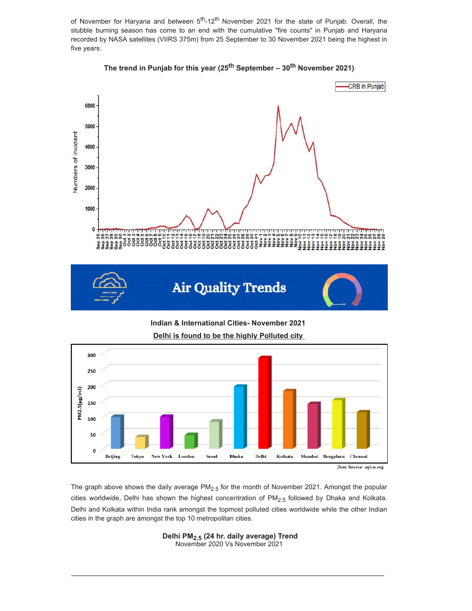of November for Haryana and between 5<sup>th</sup>-12<sup>th</sup> November 2021 for the state of Punjab. Overall, the stubble burning season has come to an end with the cumulative "fire counts" in Punjab and Haryana recorded by NASA satellites (VIIRS 375m) from 25 September to 30 November 2021 being the highest in five years.



**The trend in Punjab for this year (25th September – 30th November 2021)**

**Indian & International Cities- November 2021 Delhi is found to be the highly Polluted city**



The graph above shows the daily average  $PM_{2.5}$  for the month of November 2021. Amongst the popular cities worldwide, Delhi has shown the highest concentration of  $PM<sub>2.5</sub>$  followed by Dhaka and Kolkata. Delhi and Kolkata within India rank amongst the topmost polluted cities worldwide while the other Indian cities in the graph are amongst the top 10 metropolitan cities.

> **Delhi PM2.5 (24 hr. daily average) Trend** November 2020 Vs November 2021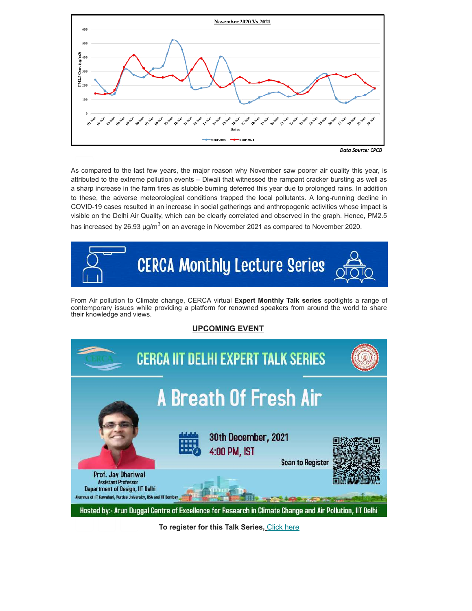

**Data Source: CPCB** 

As compared to the last few years, the major reason why November saw poorer air quality this year, is attributed to the extreme pollution events – Diwali that witnessed the rampant cracker bursting as well as a sharp increase in the farm fires as stubble burning deferred this year due to prolonged rains. In addition to these, the adverse meteorological conditions trapped the local pollutants. A long-running decline in COVID-19 cases resulted in an increase in social gatherings and anthropogenic activities whose impact is visible on the Delhi Air Quality, which can be clearly correlated and observed in the graph. Hence, PM2.5 has increased by 26.93  $\mu q/m^3$  on an average in November 2021 as compared to November 2020.



From Air pollution to Climate change, CERCA virtual **Expert Monthly Talk series** spotlights a range of contemporary issues while providing a platform for renowned speakers from around the world to share their knowledge and views.

# **UPCOMING EVENT**



**To register for this Talk Series,** [Click here](https://docs.google.com/forms/d/1kBzih12UuWCzjOxHBdx1kfwHWK0UEa9EaquFSt6ULpY/edit)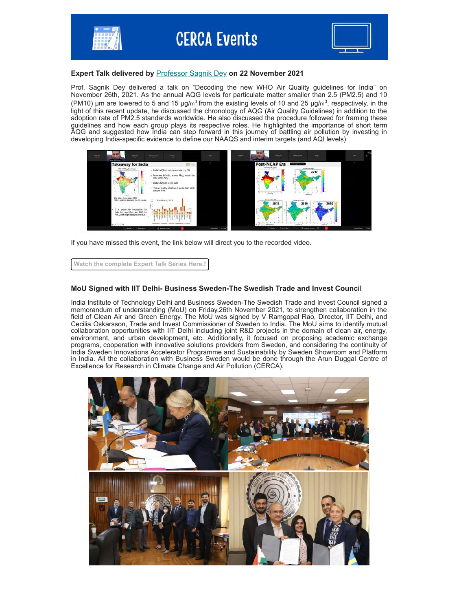

### **Expert Talk delivered by** [Professor Sagnik Dey](https://web.iitd.ac.in/~sagnik/) **on 22 November 2021**

Prof. Sagnik Dey delivered a talk on "Decoding the new WHO Air Quality guidelines for India" on November 26th, 2021. As the annual AQG levels for particulate matter smaller than 2.5 (PM2.5) and 10 (PM10) µm are lowered to 5 and 15 µg/m<sup>3</sup> from the existing levels of 10 and 25 µg/m<sup>3</sup>, respectively, in the light of this recent update, he discussed the chronology of AQG (Air Quality Guidelines) in addition to the adoption rate of PM2.5 standards worldwide. He also discussed the procedure followed for framing these guidelines and how each group plays its respective roles. He highlighted the importance of short term AQG and suggested how India can step forward in this journey of battling air pollution by investing in developing India-specific evidence to define our NAAQS and interim targets (and AQI levels)



If you have missed this event, the link below will direct you to the recorded video.

**[Watch the complete Expert Talk Series Here.!](https://www.youtube.com/watch?v=gzqTQVXI7Nc)**

# **MoU Signed with IIT Delhi- Business Sweden-The Swedish Trade and Invest Council**

India Institute of Technology Delhi and Business Sweden-The Swedish Trade and Invest Council signed a memorandum of understanding (MoU) on Friday,26th November 2021, to strengthen collaboration in the field of Clean Air and Green Energy. The MoU was signed by V Ramgopal Rao, Director, IIT Delhi, and Cecilia Oskarsson, Trade and Invest Commissioner of Sweden to India. The MoU aims to identify mutual collaboration opportunities with IIT Delhi including joint R&D projects in the domain of clean air, energy, environment, and urban development, etc. Additionally, it focused on proposing academic exchange programs, cooperation with innovative solutions providers from Sweden, and considering the continuity of India Sweden Innovations Accelerator Programme and Sustainability by Sweden Showroom and Platform in India. All the collaboration with Business Sweden would be done through the Arun Duggal Centre of Excellence for Research in Climate Change and Air Pollution (CERCA).

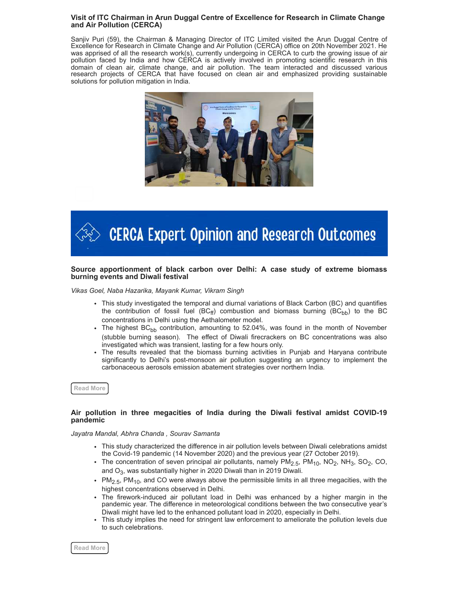### **Visit of ITC Chairman in Arun Duggal Centre of Excellence for Research in Climate Change and Air Pollution (CERCA)**

Sanjiv Puri (59), the Chairman & Managing Director of ITC Limited visited the Arun Duggal Centre of Excellence for Research in Climate Change and Air Pollution (CERCA) office on 20th November 2021. He was apprised of all the research work(s), currently undergoing in CERCA to curb the growing issue of air pollution faced by India and how CERCA is actively involved in promoting scientific research in this domain of clean air, climate change, and air pollution. The team interacted and discussed various research projects of CERCA that have focused on clean air and emphasized providing sustainable solutions for pollution mitigation in India.



# **CERCA Expert Opinion and Research Outcomes**

### **Source apportionment of black carbon over Delhi: A case study of extreme biomass burning events and Diwali festival**

*Vikas Goel, Naba Hazarika, Mayank Kumar, Vikram Singh*

- This study investigated the temporal and diurnal variations of Black Carbon (BC) and quantifies the contribution of fossil fuel (BC<sub>ff</sub>) combustion and biomass burning (BC<sub>bb</sub>) to the BC concentrations in Delhi using the Aethalometer model.
- The highest BC<sub>bb</sub> contribution, amounting to 52.04%, was found in the month of November (stubble burning season). The effect of Diwali firecrackers on BC concentrations was also investigated which was transient, lasting for a few hours only.
- The results revealed that the biomass burning activities in Punjab and Haryana contribute significantly to Delhi's post-monsoon air pollution suggesting an urgency to implement the carbonaceous aerosols emission abatement strategies over northern India.

**[Read More](https://www.sciencedirect.com/science/article/pii/S2212095521001565)**

### **Air pollution in three megacities of India during the Diwali festival amidst COVID-19 pandemic**

*Jayatra Mandal, Abhra Chanda , Sourav Samanta*

- This study characterized the difference in air pollution levels between Diwali celebrations amidst the Covid-19 pandemic (14 November 2020) and the previous year (27 October 2019).
- The concentration of seven principal air pollutants, namely  $\mathsf{PM}_{2.5}$ ,  $\mathsf{PM}_{10}$ ,  $\mathsf{NO}_{2}$ ,  $\mathsf{NH}_{3}$ , SO $_{2}$ , CO, and O $_3$ , was substantially higher in 2020 Diwali than in 2019 Diwali.
- $\cdot$  PM<sub>2.5</sub>, PM<sub>10</sub>, and CO were always above the permissible limits in all three megacities, with the highest concentrations observed in Delhi.
- The firework-induced air pollutant load in Delhi was enhanced by a higher margin in the pandemic year. The difference in meteorological conditions between the two consecutive year's Diwali might have led to the enhanced pollutant load in 2020, especially in Delhi.
- This study implies the need for stringent law enforcement to ameliorate the pollution levels due to such celebrations.

**[Read More](https://www.sciencedirect.com/science/article/pii/S2210670721007708)**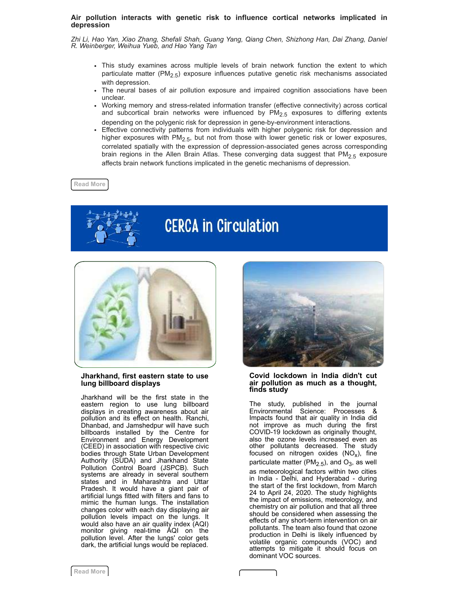### **Air pollution interacts with genetic risk to influence cortical networks implicated in depression**

*Zhi Li, Hao Yan, Xiao Zhang, Shefali Shah, Guang Yang, Qiang Chen, Shizhong Han, Dai Zhang, Daniel R. Weinberger, Weihua Yueb, and Hao Yang Tan*

- This study examines across multiple levels of brain network function the extent to which particulate matter (PM<sub>2.5</sub>) exposure influences putative genetic risk mechanisms associated with depression.
- The neural bases of air pollution exposure and impaired cognition associations have been unclear.
- Working memory and stress-related information transfer (effective connectivity) across cortical and subcortical brain networks were influenced by  $PM_{2.5}$  exposures to differing extents depending on the polygenic risk for depression in gene-by-environment interactions.
- Effective connectivity patterns from individuals with higher polygenic risk for depression and higher exposures with  $PM_{2.5}$ , but not from those with lower genetic risk or lower exposures, correlated spatially with the expression of depression-associated genes across corresponding brain regions in the Allen Brain Atlas. These converging data suggest that  $PM<sub>2.5</sub>$  exposure affects brain network functions implicated in the genetic mechanisms of depression.

**[Read More](https://www.pnas.org/content/118/46/e2109310118)**



# **CERCA in Circulation**



### **Jharkhand, first eastern state to use lung billboard displays**

Jharkhand will be the first state in the eastern region to use lung billboard displays in creating awareness about air pollution and its effect on health. Ranchi, Dhanbad, and Jamshedpur will have such billboards installed by the Centre for Environment and Energy Development (CEED) in association with respective civic bodies through State Urban Development Authority (SUDA) and Jharkhand State Pollution Control Board (JSPCB). Such systems are already in several southern states and in Maharashtra and Uttar Pradesh. It would have a giant pair of artificial lungs fitted with filters and fans to mimic the human lungs. The installation changes color with each day displaying air pollution levels impact on the lungs. It would also have an air quality index (AQI) monitor giving real-time AQI on the pollution level. After the lungs' color gets dark, the artificial lungs would be replaced.



### **Covid lockdown in India didn't cut air pollution as much as a thought, finds study**

The study, published in the journal Environmental Science: Processes & Impacts found that air quality in India did not improve as much during the first COVID-19 lockdown as originally thought, also the ozone levels increased even as other pollutants decreased. The study focused on nitrogen oxides  $(\mathsf{NO}_\mathsf{X})$ , fine particulate matter (PM $_{2.5}$ ), and O $_3$ , as well as meteorological factors within two cities in India - Delhi, and Hyderabad - during the start of the first lockdown, from March 24 to April 24, 2020. The study highlights the impact of emissions, meteorology, and chemistry on air pollution and that all three should be considered when assessing the effects of any short-term intervention on air pollutants. The team also found that ozone production in Delhi is likely influenced by volatile organic compounds (VOC) and attempts to mitigate it should focus on dominant VOC sources.

 $\overline{\phantom{a}}$